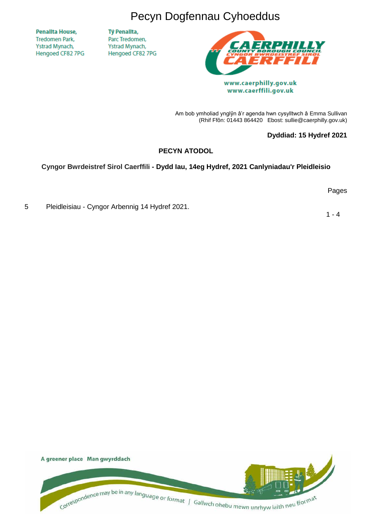Pecyn Dogfennau Cyhoeddus

**Penallta House, Tredomen Park.** Ystrad Mynach, Hengoed CF82 7PG Tỷ Penallta, Parc Tredomen, Ystrad Mynach, Hengoed CF82 7PG



www.caerphilly.gov.uk www.caerffili.gov.uk

Am bob ymholiad ynglŷn â'r agenda hwn cysylltwch â Emma Sullivan (Rhif Ffôn: 01443 864420 Ebost: sullie@caerphilly.gov.uk)

### **Dyddiad: 15 Hydref 2021**

## **PECYN ATODOL**

## **Cyngor Bwrdeistref Sirol Caerffili - Dydd Iau, 14eg Hydref, 2021 Canlyniadau'r Pleidleisio**

Pages

5 Pleidleisiau - Cyngor Arbennig 14 Hydref 2021.

 $1 - 4$ 

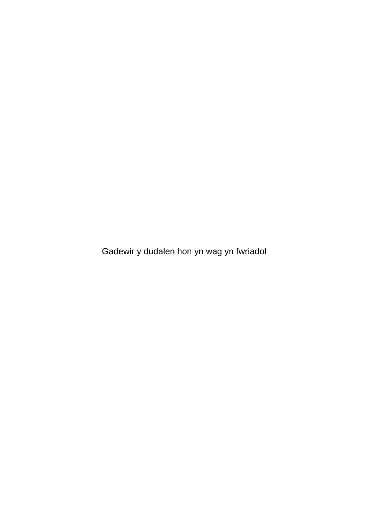Gadewir y dudalen hon yn wag yn fwriadol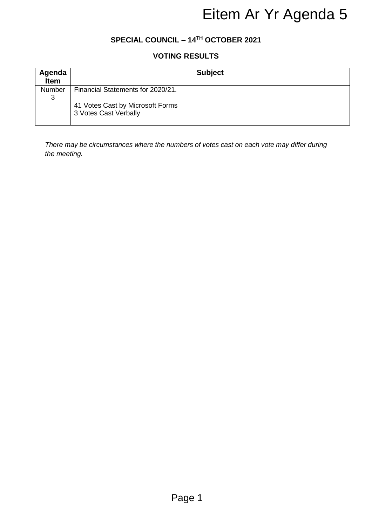## **SPECIAL COUNCIL – 14 TH OCTOBER 2021**

# **VOTING RESULTS**

|                                                              | Eitem Ar Yr Agenda 5                                                                      |  |  |  |  |  |  |  |
|--------------------------------------------------------------|-------------------------------------------------------------------------------------------|--|--|--|--|--|--|--|
| SPECIAL COUNCIL - 14TH OCTOBER 2021<br><b>VOTING RESULTS</b> |                                                                                           |  |  |  |  |  |  |  |
|                                                              |                                                                                           |  |  |  |  |  |  |  |
| Number                                                       | Financial Statements for 2020/21.                                                         |  |  |  |  |  |  |  |
| $\mathfrak{S}$                                               | 41 Votes Cast by Microsoft Forms<br>3 Votes Cast Verbally                                 |  |  |  |  |  |  |  |
| the meeting.                                                 | There may be circumstances where the numbers of votes cast on each vote may differ during |  |  |  |  |  |  |  |
|                                                              |                                                                                           |  |  |  |  |  |  |  |
|                                                              |                                                                                           |  |  |  |  |  |  |  |
|                                                              |                                                                                           |  |  |  |  |  |  |  |
|                                                              |                                                                                           |  |  |  |  |  |  |  |
|                                                              |                                                                                           |  |  |  |  |  |  |  |
|                                                              |                                                                                           |  |  |  |  |  |  |  |
|                                                              |                                                                                           |  |  |  |  |  |  |  |
|                                                              |                                                                                           |  |  |  |  |  |  |  |
|                                                              | Page 1                                                                                    |  |  |  |  |  |  |  |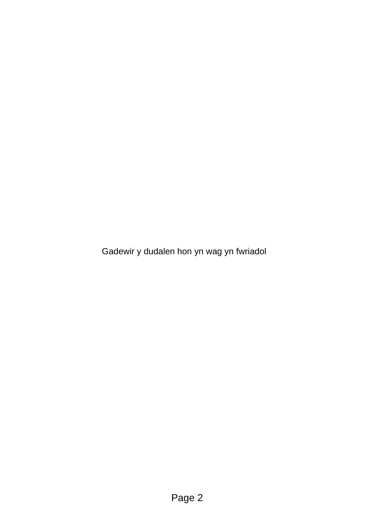Gadewir y dudalen hon yn wag yn fwriadol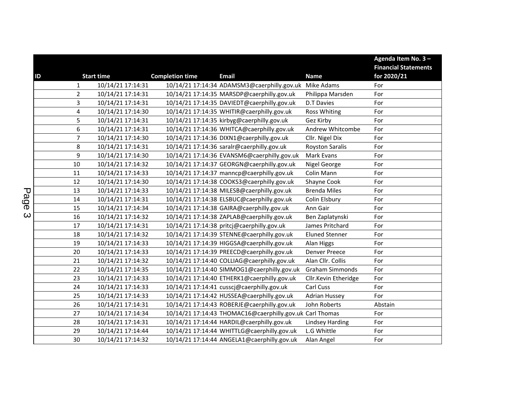|    |                |                   |                        |                                                          |                        | Agenda Item No. 3-          |
|----|----------------|-------------------|------------------------|----------------------------------------------------------|------------------------|-----------------------------|
|    |                |                   |                        |                                                          |                        | <b>Financial Statements</b> |
| ID |                | <b>Start time</b> | <b>Completion time</b> | <b>Email</b>                                             | <b>Name</b>            | for 2020/21                 |
|    | 1              | 10/14/21 17:14:31 |                        | 10/14/21 17:14:34 ADAMSM3@caerphilly.gov.uk              | Mike Adams             | For                         |
|    | $\overline{2}$ | 10/14/21 17:14:31 |                        | 10/14/21 17:14:35 MARSDP@caerphilly.gov.uk               | Philippa Marsden       | For                         |
|    | 3              | 10/14/21 17:14:31 |                        | 10/14/21 17:14:35 DAVIEDT@caerphilly.gov.uk              | <b>D.T Davies</b>      | For                         |
|    | 4              | 10/14/21 17:14:30 |                        | 10/14/21 17:14:35 WHITIR@caerphilly.gov.uk               | <b>Ross Whiting</b>    | For                         |
|    | 5              | 10/14/21 17:14:31 |                        | 10/14/21 17:14:35 kirbyg@caerphilly.gov.uk               | Gez Kirby              | For                         |
|    | 6              | 10/14/21 17:14:31 |                        | 10/14/21 17:14:36 WHITCA@caerphilly.gov.uk               | Andrew Whitcombe       | For                         |
|    | $\overline{7}$ | 10/14/21 17:14:30 |                        | 10/14/21 17:14:36 DIXN1@caerphilly.gov.uk                | Cllr. Nigel Dix        | For                         |
|    | $\bf 8$        | 10/14/21 17:14:31 |                        | 10/14/21 17:14:36 saralr@caerphilly.gov.uk               | <b>Royston Saralis</b> | For                         |
|    | 9              | 10/14/21 17:14:30 |                        | 10/14/21 17:14:36 EVANSM6@caerphilly.gov.uk              | <b>Mark Evans</b>      | For                         |
|    | 10             | 10/14/21 17:14:32 |                        | 10/14/21 17:14:37 GEORGN@caerphilly.gov.uk               | Nigel George           | For                         |
|    | 11             | 10/14/21 17:14:33 |                        | 10/14/21 17:14:37 manncp@caerphilly.gov.uk               | Colin Mann             | For                         |
|    | 12             | 10/14/21 17:14:30 |                        | 10/14/21 17:14:38 COOKS3@caerphilly.gov.uk               | Shayne Cook            | For                         |
|    | 13             | 10/14/21 17:14:33 |                        | 10/14/21 17:14:38 MILESB@caerphilly.gov.uk               | <b>Brenda Miles</b>    | For                         |
|    | 14             | 10/14/21 17:14:31 |                        | 10/14/21 17:14:38 ELSBUC@caerphilly.gov.uk               | Colin Elsbury          | For                         |
|    | 15             | 10/14/21 17:14:34 |                        | 10/14/21 17:14:38 GAIRA@caerphilly.gov.uk                | Ann Gair               | For                         |
|    | 16             | 10/14/21 17:14:32 |                        | 10/14/21 17:14:38 ZAPLAB@caerphilly.gov.uk               | Ben Zaplatynski        | For                         |
|    | 17             | 10/14/21 17:14:31 |                        | 10/14/21 17:14:38 pritcj@caerphilly.gov.uk               | James Pritchard        | For                         |
|    | 18             | 10/14/21 17:14:32 |                        | 10/14/21 17:14:39 STENNE@caerphilly.gov.uk               | <b>Eluned Stenner</b>  | For                         |
|    | 19             | 10/14/21 17:14:33 |                        | 10/14/21 17:14:39 HIGGSA@caerphilly.gov.uk               | Alan Higgs             | For                         |
|    | 20             | 10/14/21 17:14:33 |                        | 10/14/21 17:14:39 PREECD@caerphilly.gov.uk               | <b>Denver Preece</b>   | For                         |
|    | 21             | 10/14/21 17:14:32 |                        | 10/14/21 17:14:40 COLLIAG@caerphilly.gov.uk              | Alan Cllr. Collis      | For                         |
|    | 22             | 10/14/21 17:14:35 |                        | 10/14/21 17:14:40 SIMMOG1@caerphilly.gov.uk              | <b>Graham Simmonds</b> | For                         |
|    | 23             | 10/14/21 17:14:33 |                        | 10/14/21 17:14:40 ETHERK1@caerphilly.gov.uk              | Cllr.Kevin Etheridge   | For                         |
|    | 24             | 10/14/21 17:14:33 |                        | 10/14/21 17:14:41 cusscj@caerphilly.gov.uk               | Carl Cuss              | For                         |
|    | 25             | 10/14/21 17:14:33 |                        | 10/14/21 17:14:42 HUSSEA@caerphilly.gov.uk               | <b>Adrian Hussey</b>   | For                         |
|    | 26             | 10/14/21 17:14:31 |                        | 10/14/21 17:14:43 ROBERJE@caerphilly.gov.uk              | John Roberts           | Abstain                     |
|    | 27             | 10/14/21 17:14:34 |                        | 10/14/21 17:14:43 THOMAC16@caerphilly.gov.uk Carl Thomas |                        | For                         |
|    | 28             | 10/14/21 17:14:31 |                        | 10/14/21 17:14:44 HARDIL@caerphilly.gov.uk               | <b>Lindsey Harding</b> | For                         |
|    | 29             | 10/14/21 17:14:44 |                        | 10/14/21 17:14:44 WHITTLG@caerphilly.gov.uk              | L.G Whittle            | For                         |
|    | 30             | 10/14/21 17:14:32 |                        | 10/14/21 17:14:44 ANGELA1@caerphilly.gov.uk              | Alan Angel             | For                         |